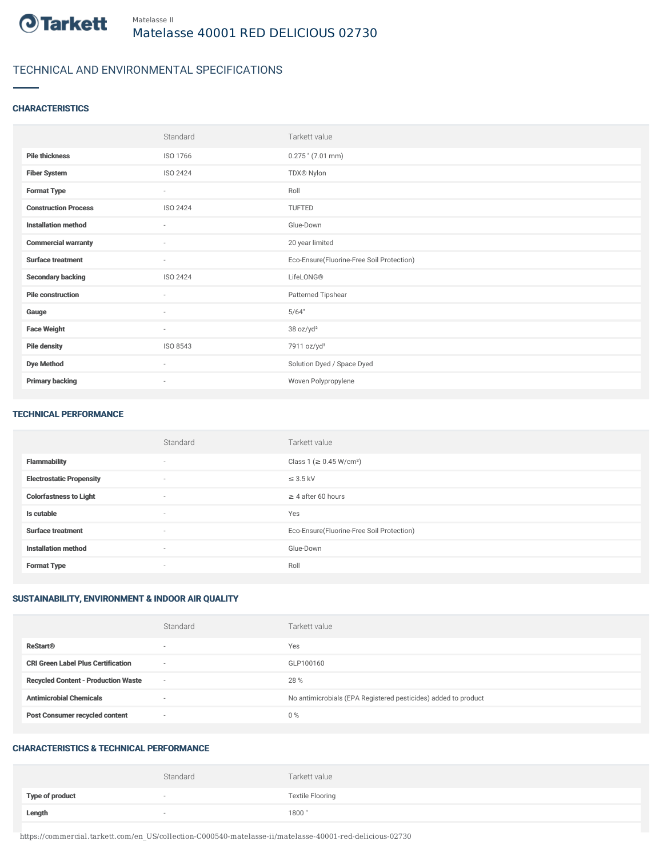

# TECHNICAL AND ENVIRONMENTAL SPECIFICATIONS

### **CHARACTERISTICS**

|                             | Standard                 | Tarkett value                             |
|-----------------------------|--------------------------|-------------------------------------------|
| <b>Pile thickness</b>       | ISO 1766                 | $0.275$ " (7.01 mm)                       |
| <b>Fiber System</b>         | <b>ISO 2424</b>          | TDX® Nylon                                |
| <b>Format Type</b>          | $\overline{\phantom{a}}$ | Roll                                      |
| <b>Construction Process</b> | <b>ISO 2424</b>          | TUFTED                                    |
| <b>Installation method</b>  | ٠                        | Glue-Down                                 |
| <b>Commercial warranty</b>  | ٠                        | 20 year limited                           |
| <b>Surface treatment</b>    | ٠                        | Eco-Ensure(Fluorine-Free Soil Protection) |
| <b>Secondary backing</b>    | <b>ISO 2424</b>          | LifeLONG®                                 |
| <b>Pile construction</b>    | $\sim$                   | Patterned Tipshear                        |
| Gauge                       | ٠                        | 5/64"                                     |
| <b>Face Weight</b>          | $\sim$                   | 38 oz/yd <sup>2</sup>                     |
| <b>Pile density</b>         | ISO 8543                 | 7911 oz/yd <sup>3</sup>                   |
| <b>Dye Method</b>           | $\sim$                   | Solution Dyed / Space Dyed                |
| <b>Primary backing</b>      | $\overline{\phantom{a}}$ | Woven Polypropylene                       |

#### TECHNICAL PERFORMANCE

|                                 | Standard                 | Tarkett value                             |
|---------------------------------|--------------------------|-------------------------------------------|
| <b>Flammability</b>             | $\sim$                   | Class 1 (≥ 0.45 W/cm <sup>2</sup> )       |
| <b>Electrostatic Propensity</b> | $\overline{\phantom{a}}$ | $\leq$ 3.5 kV                             |
| <b>Colorfastness to Light</b>   | $\sim$                   | $\geq$ 4 after 60 hours                   |
| Is cutable                      | $\sim$                   | Yes                                       |
| <b>Surface treatment</b>        | $\sim$                   | Eco-Ensure(Fluorine-Free Soil Protection) |
| <b>Installation method</b>      | $\sim$                   | Glue-Down                                 |
| <b>Format Type</b>              | $\overline{\phantom{a}}$ | Roll                                      |

## SUSTAINABILITY, ENVIRONMENT & INDOOR AIR QUALITY

|                                            | Standard                 | Tarkett value                                                  |
|--------------------------------------------|--------------------------|----------------------------------------------------------------|
| <b>ReStart®</b>                            | $\overline{\phantom{a}}$ | Yes                                                            |
| <b>CRI Green Label Plus Certification</b>  | $\overline{\phantom{a}}$ | GLP100160                                                      |
| <b>Recycled Content - Production Waste</b> | $\sim$                   | 28 %                                                           |
| <b>Antimicrobial Chemicals</b>             | $\overline{\phantom{a}}$ | No antimicrobials (EPA Registered pesticides) added to product |
| <b>Post Consumer recycled content</b>      | $\overline{\phantom{a}}$ | $0\%$                                                          |

#### CHARACTERISTICS & TECHNICAL PERFORMANCE

|                        | Standard | Tarkett value           |
|------------------------|----------|-------------------------|
| <b>Type of product</b> |          | <b>Textile Flooring</b> |
| Length                 |          | 1800"                   |